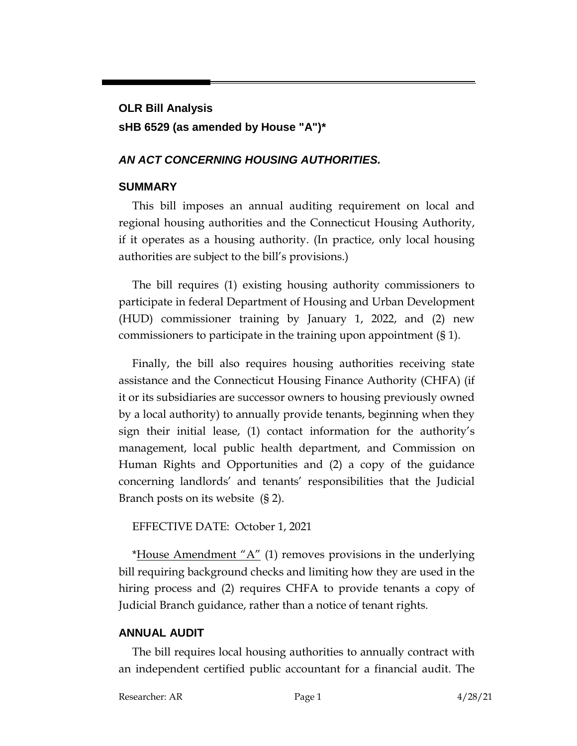# **OLR Bill Analysis sHB 6529 (as amended by House "A")\***

### *AN ACT CONCERNING HOUSING AUTHORITIES.*

#### **SUMMARY**

This bill imposes an annual auditing requirement on local and regional housing authorities and the Connecticut Housing Authority, if it operates as a housing authority. (In practice, only local housing authorities are subject to the bill's provisions.)

The bill requires (1) existing housing authority commissioners to participate in federal Department of Housing and Urban Development (HUD) commissioner training by January 1, 2022, and (2) new commissioners to participate in the training upon appointment (§ 1).

Finally, the bill also requires housing authorities receiving state assistance and the Connecticut Housing Finance Authority (CHFA) (if it or its subsidiaries are successor owners to housing previously owned by a local authority) to annually provide tenants, beginning when they sign their initial lease, (1) contact information for the authority's management, local public health department, and Commission on Human Rights and Opportunities and (2) a copy of the guidance concerning landlords' and tenants' responsibilities that the Judicial Branch posts on its website (§ 2).

EFFECTIVE DATE: October 1, 2021

\*House Amendment  $A''(1)$  removes provisions in the underlying bill requiring background checks and limiting how they are used in the hiring process and (2) requires CHFA to provide tenants a copy of Judicial Branch guidance, rather than a notice of tenant rights.

#### **ANNUAL AUDIT**

The bill requires local housing authorities to annually contract with an independent certified public accountant for a financial audit. The